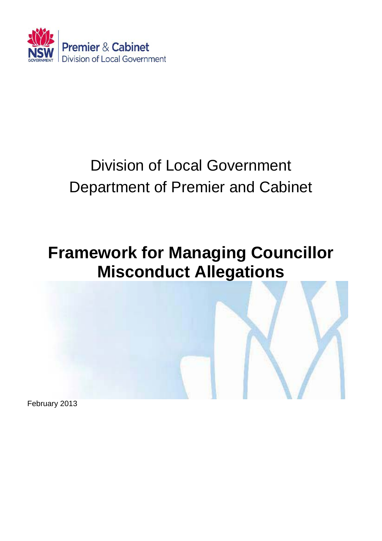

# Division of Local Government Department of Premier and Cabinet

# **Framework for Managing Councillor Misconduct Allegations**

February 2013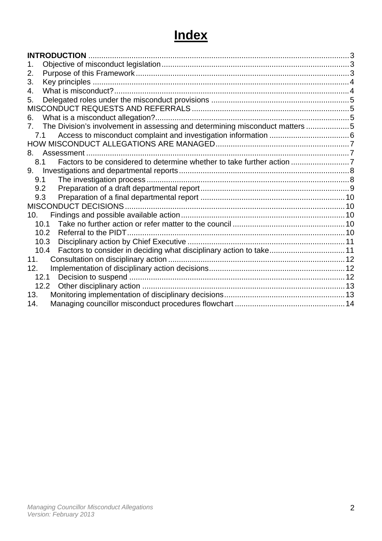## **Index**

| <b>INTRODUCTION</b>                                                           |  |
|-------------------------------------------------------------------------------|--|
| 1.                                                                            |  |
| 2.                                                                            |  |
| 3.                                                                            |  |
| 4.                                                                            |  |
| 5.                                                                            |  |
|                                                                               |  |
| 6.                                                                            |  |
| The Division's involvement in assessing and determining misconduct matters 5  |  |
| 7.1                                                                           |  |
|                                                                               |  |
| 8.                                                                            |  |
| Factors to be considered to determine whether to take further action 7<br>8.1 |  |
|                                                                               |  |
| 9.1                                                                           |  |
| 9.2                                                                           |  |
| 9.3                                                                           |  |
|                                                                               |  |
| 10.                                                                           |  |
| 10.1                                                                          |  |
| 10.2                                                                          |  |
| 10.3                                                                          |  |
| 10.4                                                                          |  |
| 11.                                                                           |  |
| 12.                                                                           |  |
| 12.1                                                                          |  |
| 12.2                                                                          |  |
| 13.                                                                           |  |
| 14.                                                                           |  |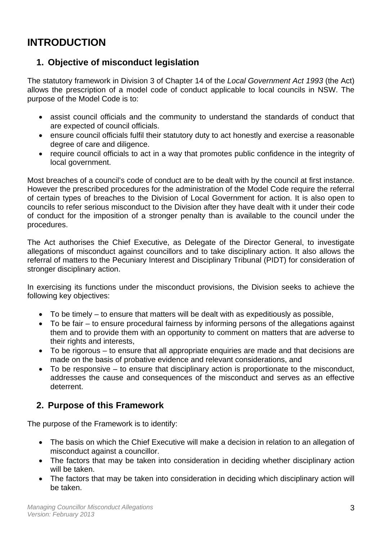## <span id="page-2-0"></span>**INTRODUCTION**

#### **1. Objective of misconduct legislation**

<span id="page-2-1"></span>The statutory framework in Division 3 of Chapter 14 of the *Local Government Act 1993* (the Act) allows the prescription of a model code of conduct applicable to local councils in NSW. The purpose of the Model Code is to:

- assist council officials and the community to understand the standards of conduct that are expected of council officials.
- ensure council officials fulfil their statutory duty to act honestly and exercise a reasonable degree of care and diligence.
- require council officials to act in a way that promotes public confidence in the integrity of local government.

Most breaches of a council's code of conduct are to be dealt with by the council at first instance. However the prescribed procedures for the administration of the Model Code require the referral of certain types of breaches to the Division of Local Government for action. It is also open to councils to refer serious misconduct to the Division after they have dealt with it under their code of conduct for the imposition of a stronger penalty than is available to the council under the procedures.

The Act authorises the Chief Executive, as Delegate of the Director General, to investigate allegations of misconduct against councillors and to take disciplinary action. It also allows the referral of matters to the Pecuniary Interest and Disciplinary Tribunal (PIDT) for consideration of stronger disciplinary action.

In exercising its functions under the misconduct provisions, the Division seeks to achieve the following key objectives:

- To be timely to ensure that matters will be dealt with as expeditiously as possible,
- To be fair to ensure procedural fairness by informing persons of the allegations against them and to provide them with an opportunity to comment on matters that are adverse to their rights and interests,
- To be rigorous to ensure that all appropriate enquiries are made and that decisions are made on the basis of probative evidence and relevant considerations, and
- To be responsive to ensure that disciplinary action is proportionate to the misconduct, addresses the cause and consequences of the misconduct and serves as an effective deterrent.

#### **2. Purpose of this Framework**

<span id="page-2-2"></span>The purpose of the Framework is to identify:

- The basis on which the Chief Executive will make a decision in relation to an allegation of misconduct against a councillor.
- The factors that may be taken into consideration in deciding whether disciplinary action will be taken.
- The factors that may be taken into consideration in deciding which disciplinary action will be taken.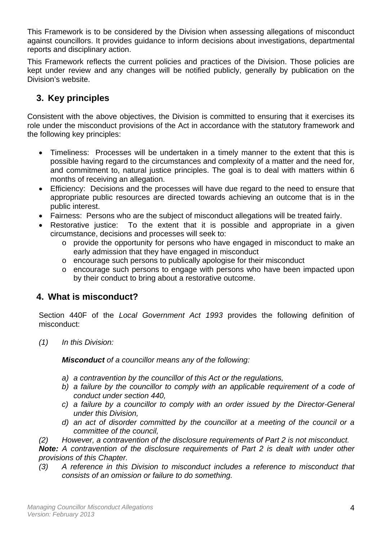This Framework is to be considered by the Division when assessing allegations of misconduct against councillors. It provides guidance to inform decisions about investigations, departmental reports and disciplinary action.

This Framework reflects the current policies and practices of the Division. Those policies are kept under review and any changes will be notified publicly, generally by publication on the Division's website.

## **3. Key principles**

<span id="page-3-0"></span>Consistent with the above objectives, the Division is committed to ensuring that it exercises its role under the misconduct provisions of the Act in accordance with the statutory framework and the following key principles:

- Timeliness: Processes will be undertaken in a timely manner to the extent that this is possible having regard to the circumstances and complexity of a matter and the need for, and commitment to, natural justice principles. The goal is to deal with matters within 6 months of receiving an allegation.
- Efficiency: Decisions and the processes will have due regard to the need to ensure that appropriate public resources are directed towards achieving an outcome that is in the public interest.
- Fairness: Persons who are the subject of misconduct allegations will be treated fairly.
- Restorative justice: To the extent that it is possible and appropriate in a given circumstance, decisions and processes will seek to:
	- o provide the opportunity for persons who have engaged in misconduct to make an early admission that they have engaged in misconduct
	- o encourage such persons to publically apologise for their misconduct
	- o encourage such persons to engage with persons who have been impacted upon by their conduct to bring about a restorative outcome.

#### <span id="page-3-1"></span>**4. What is misconduct?**

Section 440F of the *Local Government Act 1993* provides the following definition of misconduct:

*(1) In this Division:* 

*Misconduct of a councillor means any of the following:* 

- *a) a contravention by the councillor of this Act or the regulations,*
- *b) a failure by the councillor to comply with an applicable requirement of a code of conduct under section 440,*
- *c) a failure by a councillor to comply with an order issued by the Director-General under this Division,*
- *d) an act of disorder committed by the councillor at a meeting of the council or a committee of the council,*

*(2) However, a contravention of the disclosure requirements of Part 2 is not misconduct.* 

*Note: A contravention of the disclosure requirements of Part 2 is dealt with under other provisions of this Chapter.* 

*(3) A reference in this Division to misconduct includes a reference to misconduct that consists of an omission or failure to do something.*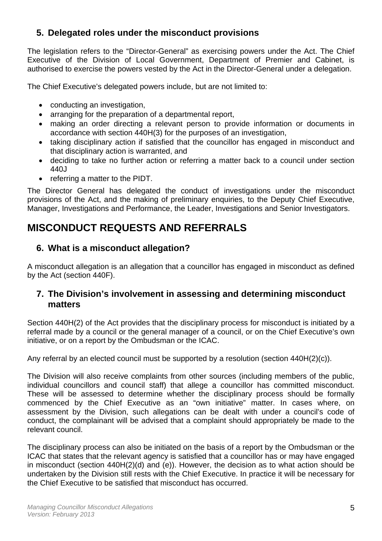### **5. Delegated roles under the misconduct provisions**

<span id="page-4-0"></span>The legislation refers to the "Director-General" as exercising powers under the Act. The Chief Executive of the Division of Local Government, Department of Premier and Cabinet, is authorised to exercise the powers vested by the Act in the Director-General under a delegation.

The Chief Executive's delegated powers include, but are not limited to:

- conducting an investigation,
- arranging for the preparation of a departmental report,
- making an order directing a relevant person to provide information or documents in accordance with section 440H(3) for the purposes of an investigation,
- taking disciplinary action if satisfied that the councillor has engaged in misconduct and that disciplinary action is warranted, and
- deciding to take no further action or referring a matter back to a council under section 440J
- referring a matter to the PIDT.

The Director General has delegated the conduct of investigations under the misconduct provisions of the Act, and the making of preliminary enquiries, to the Deputy Chief Executive, Manager, Investigations and Performance, the Leader, Investigations and Senior Investigators.

## <span id="page-4-1"></span>**MISCONDUCT REQUESTS AND REFERRALS**

## **6. What is a misconduct allegation?**

<span id="page-4-2"></span>A misconduct allegation is an allegation that a councillor has engaged in misconduct as defined by the Act (section 440F).

#### <span id="page-4-3"></span>**7. The Division's involvement in assessing and determining misconduct matters**

Section 440H(2) of the Act provides that the disciplinary process for misconduct is initiated by a referral made by a council or the general manager of a council, or on the Chief Executive's own initiative, or on a report by the Ombudsman or the ICAC.

Any referral by an elected council must be supported by a resolution (section 440H(2)(c)).

The Division will also receive complaints from other sources (including members of the public, individual councillors and council staff) that allege a councillor has committed misconduct. These will be assessed to determine whether the disciplinary process should be formally commenced by the Chief Executive as an "own initiative" matter. In cases where, on assessment by the Division, such allegations can be dealt with under a council's code of conduct, the complainant will be advised that a complaint should appropriately be made to the relevant council.

The disciplinary process can also be initiated on the basis of a report by the Ombudsman or the ICAC that states that the relevant agency is satisfied that a councillor has or may have engaged in misconduct (section 440H(2)(d) and (e)). However, the decision as to what action should be undertaken by the Division still rests with the Chief Executive. In practice it will be necessary for the Chief Executive to be satisfied that misconduct has occurred.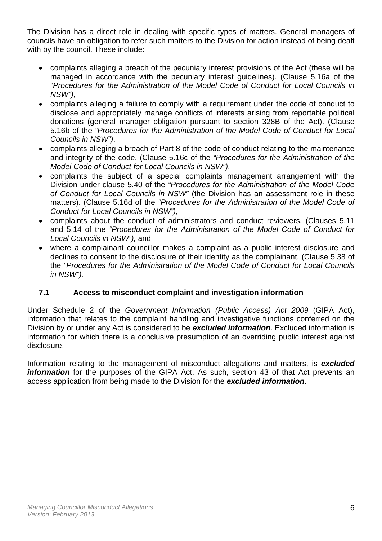The Division has a direct role in dealing with specific types of matters. General managers of councils have an obligation to refer such matters to the Division for action instead of being dealt with by the council. These include:

- complaints alleging a breach of the pecuniary interest provisions of the Act (these will be managed in accordance with the pecuniary interest guidelines). (Clause 5.16a of the *"Procedures for the Administration of the Model Code of Conduct for Local Councils in NSW")*,
- complaints alleging a failure to comply with a requirement under the code of conduct to disclose and appropriately manage conflicts of interests arising from reportable political donations (general manager obligation pursuant to section 328B of the Act). (Clause 5.16b of the *"Procedures for the Administration of the Model Code of Conduct for Local Councils in NSW")*,
- complaints alleging a breach of Part 8 of the code of conduct relating to the maintenance and integrity of the code. (Clause 5.16c of the *"Procedures for the Administration of the Model Code of Conduct for Local Councils in NSW")*,
- complaints the subject of a special complaints management arrangement with the Division under clause 5.40 of the *"Procedures for the Administration of the Model Code of Conduct for Local Councils in NSW"* (the Division has an assessment role in these matters). (Clause 5.16d of the *"Procedures for the Administration of the Model Code of Conduct for Local Councils in NSW")*,
- complaints about the conduct of administrators and conduct reviewers, (Clauses 5.11 and 5.14 of the *"Procedures for the Administration of the Model Code of Conduct for Local Councils in NSW"),* and
- where a complainant councillor makes a complaint as a public interest disclosure and declines to consent to the disclosure of their identity as the complainant. (Clause 5.38 of the *"Procedures for the Administration of the Model Code of Conduct for Local Councils in NSW").*

#### **7.1 Access to misconduct complaint and investigation information**

<span id="page-5-0"></span>Under Schedule 2 of the *Government Information (Public Access) Act 2009* (GIPA Act), information that relates to the complaint handling and investigative functions conferred on the Division by or under any Act is considered to be *excluded information*. Excluded information is information for which there is a conclusive presumption of an overriding public interest against disclosure.

Information relating to the management of misconduct allegations and matters, is *excluded information* for the purposes of the GIPA Act. As such, section 43 of that Act prevents an access application from being made to the Division for the *excluded information*.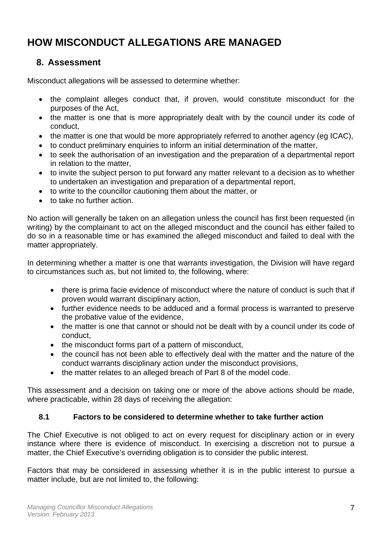## <span id="page-6-0"></span>**HOW MISCONDUCT ALLEGATIONS ARE MANAGED**

#### **8. Assessment**

<span id="page-6-1"></span>Misconduct allegations will be assessed to determine whether:

- the complaint alleges conduct that, if proven, would constitute misconduct for the purposes of the Act,
- the matter is one that is more appropriately dealt with by the council under its code of conduct,
- the matter is one that would be more appropriately referred to another agency (eg ICAC),
- to conduct preliminary enquiries to inform an initial determination of the matter,
- to seek the authorisation of an investigation and the preparation of a departmental report in relation to the matter,
- to invite the subject person to put forward any matter relevant to a decision as to whether to undertaken an investigation and preparation of a departmental report,
- to write to the councillor cautioning them about the matter, or
- to take no further action.

No action will generally be taken on an allegation unless the council has first been requested (in writing) by the complainant to act on the alleged misconduct and the council has either failed to do so in a reasonable time or has examined the alleged misconduct and failed to deal with the matter appropriately.

In determining whether a matter is one that warrants investigation, the Division will have regard to circumstances such as, but not limited to, the following, where:

- there is prima facie evidence of misconduct where the nature of conduct is such that if proven would warrant disciplinary action,
- further evidence needs to be adduced and a formal process is warranted to preserve the probative value of the evidence,
- the matter is one that cannot or should not be dealt with by a council under its code of conduct,
- the misconduct forms part of a pattern of misconduct,
- the council has not been able to effectively deal with the matter and the nature of the conduct warrants disciplinary action under the misconduct provisions,
- the matter relates to an alleged breach of Part 8 of the model code.

This assessment and a decision on taking one or more of the above actions should be made, where practicable, within 28 days of receiving the allegation:

#### **8.1 Factors to be considered to determine whether to take further action**

<span id="page-6-2"></span>The Chief Executive is not obliged to act on every request for disciplinary action or in every instance where there is evidence of misconduct. In exercising a discretion not to pursue a matter, the Chief Executive's overriding obligation is to consider the public interest.

Factors that may be considered in assessing whether it is in the public interest to pursue a matter include, but are not limited to, the following: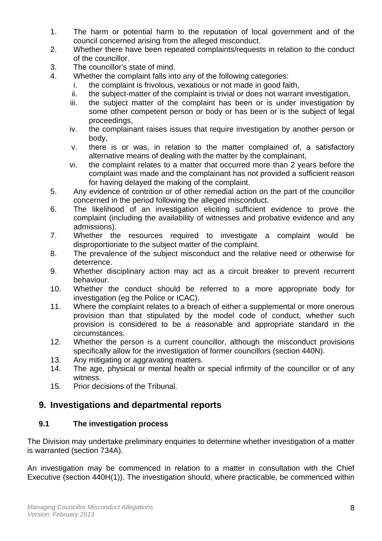- 1. The harm or potential harm to the reputation of local government and of the council concerned arising from the alleged misconduct.
- 2. Whether there have been repeated complaints/requests in relation to the conduct of the councillor.
- 3. The councillor's state of mind.
- 4. Whether the complaint falls into any of the following categories:
	- i. the complaint is frivolous, vexatious or not made in good faith,
	- ii. the subject-matter of the complaint is trivial or does not warrant investigation,
	- iii. the subject matter of the complaint has been or is under investigation by some other competent person or body or has been or is the subject of legal proceedings,
	- iv. the complainant raises issues that require investigation by another person or body,
	- v. there is or was, in relation to the matter complained of, a satisfactory alternative means of dealing with the matter by the complainant,
	- vi. the complaint relates to a matter that occurred more than 2 years before the complaint was made and the complainant has not provided a sufficient reason for having delayed the making of the complaint.
- 5. Any evidence of contrition or of other remedial action on the part of the councillor concerned in the period following the alleged misconduct.
- 6. The likelihood of an investigation eliciting sufficient evidence to prove the complaint (including the availability of witnesses and probative evidence and any admissions).
- 7. Whether the resources required to investigate a complaint would be disproportionate to the subject matter of the complaint.
- 8. The prevalence of the subject misconduct and the relative need or otherwise for deterrence.
- 9. Whether disciplinary action may act as a circuit breaker to prevent recurrent behaviour.
- 10. Whether the conduct should be referred to a more appropriate body for investigation (eg the Police or ICAC).
- 11. Where the complaint relates to a breach of either a supplemental or more onerous provision than that stipulated by the model code of conduct, whether such provision is considered to be a reasonable and appropriate standard in the circumstances.
- 12. Whether the person is a current councillor, although the misconduct provisions specifically allow for the investigation of former councillors (section 440N).
- 13. Any mitigating or aggravating matters.
- 14. The age, physical or mental health or special infirmity of the councillor or of any witness.
- 15. Prior decisions of the Tribunal.

#### <span id="page-7-0"></span>**9. Investigations and departmental reports**

#### **9.1 The investigation process**

<span id="page-7-1"></span>The Division may undertake preliminary enquiries to determine whether investigation of a matter is warranted (section 734A).

An investigation may be commenced in relation to a matter in consultation with the Chief Executive (section 440H(1)). The investigation should, where practicable, be commenced within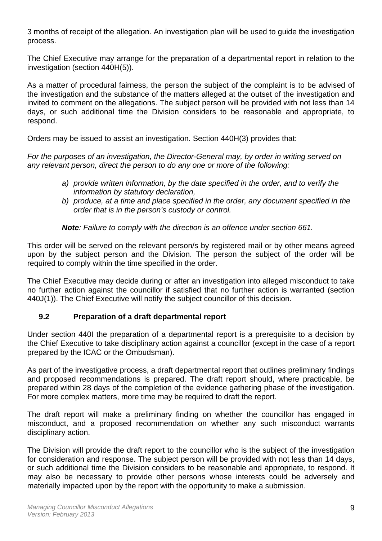3 months of receipt of the allegation. An investigation plan will be used to guide the investigation process.

The Chief Executive may arrange for the preparation of a departmental report in relation to the investigation (section 440H(5)).

As a matter of procedural fairness, the person the subject of the complaint is to be advised of the investigation and the substance of the matters alleged at the outset of the investigation and invited to comment on the allegations. The subject person will be provided with not less than 14 days, or such additional time the Division considers to be reasonable and appropriate, to respond.

Orders may be issued to assist an investigation. Section 440H(3) provides that:

*For the purposes of an investigation, the Director-General may, by order in writing served on any relevant person, direct the person to do any one or more of the following:* 

- *a) provide written information, by the date specified in the order, and to verify the information by statutory declaration,*
- *b) produce, at a time and place specified in the order, any document specified in the order that is in the person's custody or control.*

*Note: Failure to comply with the direction is an offence under section 661.* 

This order will be served on the relevant person/s by registered mail or by other means agreed upon by the subject person and the Division. The person the subject of the order will be required to comply within the time specified in the order.

The Chief Executive may decide during or after an investigation into alleged misconduct to take no further action against the councillor if satisfied that no further action is warranted (section 440J(1)). The Chief Executive will notify the subject councillor of this decision.

#### **9.2 Preparation of a draft departmental report**

<span id="page-8-0"></span>Under section 440I the preparation of a departmental report is a prerequisite to a decision by the Chief Executive to take disciplinary action against a councillor (except in the case of a report prepared by the ICAC or the Ombudsman).

As part of the investigative process, a draft departmental report that outlines preliminary findings and proposed recommendations is prepared. The draft report should, where practicable, be prepared within 28 days of the completion of the evidence gathering phase of the investigation. For more complex matters, more time may be required to draft the report.

The draft report will make a preliminary finding on whether the councillor has engaged in misconduct, and a proposed recommendation on whether any such misconduct warrants disciplinary action.

The Division will provide the draft report to the councillor who is the subject of the investigation for consideration and response. The subject person will be provided with not less than 14 days, or such additional time the Division considers to be reasonable and appropriate, to respond. It may also be necessary to provide other persons whose interests could be adversely and materially impacted upon by the report with the opportunity to make a submission.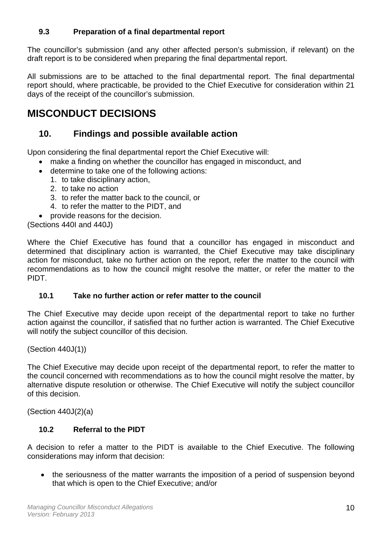#### **9.3 Preparation of a final departmental report**

<span id="page-9-0"></span>The councillor's submission (and any other affected person's submission, if relevant) on the draft report is to be considered when preparing the final departmental report.

All submissions are to be attached to the final departmental report. The final departmental report should, where practicable, be provided to the Chief Executive for consideration within 21 days of the receipt of the councillor's submission.

## <span id="page-9-1"></span>**MISCONDUCT DECISIONS**

#### **10. Findings and possible available action**

<span id="page-9-2"></span>Upon considering the final departmental report the Chief Executive will:

- make a finding on whether the councillor has engaged in misconduct, and
- determine to take one of the following actions:
	- 1. to take disciplinary action,
	- 2. to take no action
	- 3. to refer the matter back to the council, or
	- 4. to refer the matter to the PIDT, and
- provide reasons for the decision.

(Sections 440I and 440J)

Where the Chief Executive has found that a councillor has engaged in misconduct and determined that disciplinary action is warranted, the Chief Executive may take disciplinary action for misconduct, take no further action on the report, refer the matter to the council with recommendations as to how the council might resolve the matter, or refer the matter to the PIDT.

#### **10.1 Take no further action or refer matter to the council**

<span id="page-9-3"></span>The Chief Executive may decide upon receipt of the departmental report to take no further action against the councillor, if satisfied that no further action is warranted. The Chief Executive will notify the subject councillor of this decision.

(Section 440J(1))

The Chief Executive may decide upon receipt of the departmental report, to refer the matter to the council concerned with recommendations as to how the council might resolve the matter, by alternative dispute resolution or otherwise. The Chief Executive will notify the subject councillor of this decision.

<span id="page-9-4"></span>(Section 440J(2)(a)

#### **10.2 Referral to the PIDT**

A decision to refer a matter to the PIDT is available to the Chief Executive. The following considerations may inform that decision:

• the seriousness of the matter warrants the imposition of a period of suspension beyond that which is open to the Chief Executive; and/or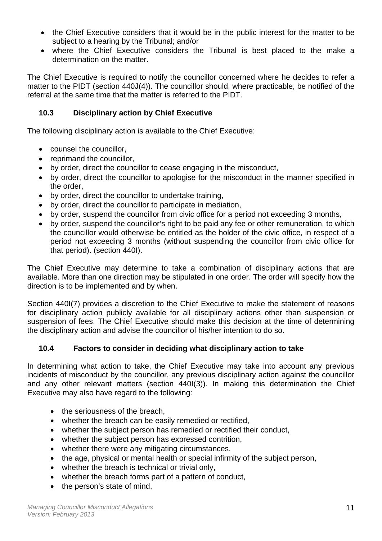- the Chief Executive considers that it would be in the public interest for the matter to be subject to a hearing by the Tribunal; and/or
- where the Chief Executive considers the Tribunal is best placed to the make a determination on the matter.

The Chief Executive is required to notify the councillor concerned where he decides to refer a matter to the PIDT (section 440J(4)). The councillor should, where practicable, be notified of the referral at the same time that the matter is referred to the PIDT.

#### **10.3 Disciplinary action by Chief Executive**

<span id="page-10-0"></span>The following disciplinary action is available to the Chief Executive:

- counsel the councillor,
- reprimand the councillor,
- by order, direct the councillor to cease engaging in the misconduct,
- by order, direct the councillor to apologise for the misconduct in the manner specified in the order,
- by order, direct the councillor to undertake training,
- by order, direct the councillor to participate in mediation,
- by order, suspend the councillor from civic office for a period not exceeding 3 months,
- by order, suspend the councillor's right to be paid any fee or other remuneration, to which the councillor would otherwise be entitled as the holder of the civic office, in respect of a period not exceeding 3 months (without suspending the councillor from civic office for that period). (section 440I).

The Chief Executive may determine to take a combination of disciplinary actions that are available. More than one direction may be stipulated in one order. The order will specify how the direction is to be implemented and by when.

Section 440I(7) provides a discretion to the Chief Executive to make the statement of reasons for disciplinary action publicly available for all disciplinary actions other than suspension or suspension of fees. The Chief Executive should make this decision at the time of determining the disciplinary action and advise the councillor of his/her intention to do so.

#### **10.4 Factors to consider in deciding what disciplinary action to take**

<span id="page-10-1"></span>In determining what action to take, the Chief Executive may take into account any previous incidents of misconduct by the councillor, any previous disciplinary action against the councillor and any other relevant matters (section 440I(3)). In making this determination the Chief Executive may also have regard to the following:

- the seriousness of the breach,
- whether the breach can be easily remedied or rectified.
- whether the subject person has remedied or rectified their conduct,
- whether the subject person has expressed contrition,
- whether there were any mitigating circumstances,
- the age, physical or mental health or special infirmity of the subject person,
- whether the breach is technical or trivial only,
- whether the breach forms part of a pattern of conduct,
- the person's state of mind,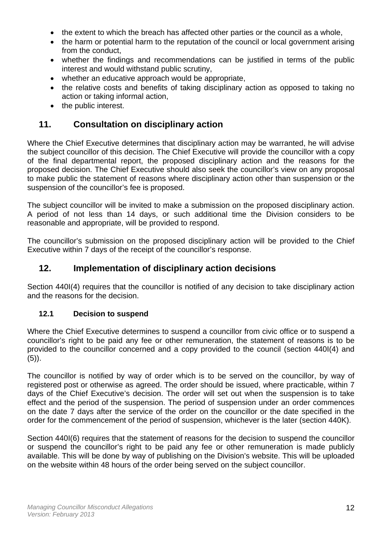- the extent to which the breach has affected other parties or the council as a whole,
- the harm or potential harm to the reputation of the council or local government arising from the conduct,
- whether the findings and recommendations can be justified in terms of the public interest and would withstand public scrutiny,
- whether an educative approach would be appropriate,
- the relative costs and benefits of taking disciplinary action as opposed to taking no action or taking informal action,
- the public interest.

#### **11. Consultation on disciplinary action**

<span id="page-11-0"></span>Where the Chief Executive determines that disciplinary action may be warranted, he will advise the subject councillor of this decision. The Chief Executive will provide the councillor with a copy of the final departmental report, the proposed disciplinary action and the reasons for the proposed decision. The Chief Executive should also seek the councillor's view on any proposal to make public the statement of reasons where disciplinary action other than suspension or the suspension of the councillor's fee is proposed.

The subject councillor will be invited to make a submission on the proposed disciplinary action. A period of not less than 14 days, or such additional time the Division considers to be reasonable and appropriate, will be provided to respond.

The councillor's submission on the proposed disciplinary action will be provided to the Chief Executive within 7 days of the receipt of the councillor's response.

#### **12. Implementation of disciplinary action decisions**

<span id="page-11-1"></span>Section 440I(4) requires that the councillor is notified of any decision to take disciplinary action and the reasons for the decision.

#### **12.1 Decision to suspend**

<span id="page-11-2"></span>Where the Chief Executive determines to suspend a councillor from civic office or to suspend a councillor's right to be paid any fee or other remuneration, the statement of reasons is to be provided to the councillor concerned and a copy provided to the council (section 440I(4) and  $(5)$ ).

The councillor is notified by way of order which is to be served on the councillor, by way of registered post or otherwise as agreed. The order should be issued, where practicable, within 7 days of the Chief Executive's decision. The order will set out when the suspension is to take effect and the period of the suspension. The period of suspension under an order commences on the date 7 days after the service of the order on the councillor or the date specified in the order for the commencement of the period of suspension, whichever is the later (section 440K).

Section 440I(6) requires that the statement of reasons for the decision to suspend the councillor or suspend the councillor's right to be paid any fee or other remuneration is made publicly available. This will be done by way of publishing on the Division's website. This will be uploaded on the website within 48 hours of the order being served on the subject councillor.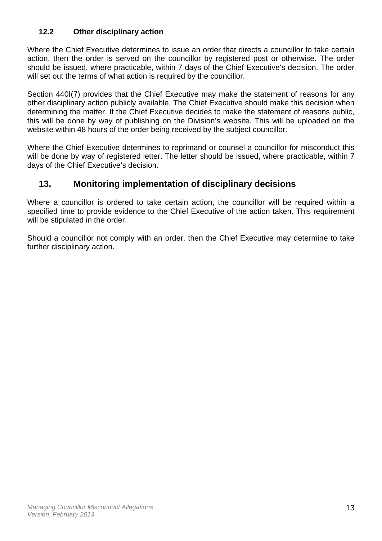#### **12.2 Other disciplinary action**

<span id="page-12-0"></span>Where the Chief Executive determines to issue an order that directs a councillor to take certain action, then the order is served on the councillor by registered post or otherwise. The order should be issued, where practicable, within 7 days of the Chief Executive's decision. The order will set out the terms of what action is required by the councillor.

Section 440I(7) provides that the Chief Executive may make the statement of reasons for any other disciplinary action publicly available. The Chief Executive should make this decision when determining the matter. If the Chief Executive decides to make the statement of reasons public, this will be done by way of publishing on the Division's website. This will be uploaded on the website within 48 hours of the order being received by the subject councillor.

Where the Chief Executive determines to reprimand or counsel a councillor for misconduct this will be done by way of registered letter. The letter should be issued, where practicable, within 7 days of the Chief Executive's decision.

#### **13. Monitoring implementation of disciplinary decisions**

<span id="page-12-1"></span>Where a councillor is ordered to take certain action, the councillor will be required within a specified time to provide evidence to the Chief Executive of the action taken. This requirement will be stipulated in the order.

Should a councillor not comply with an order, then the Chief Executive may determine to take further disciplinary action.